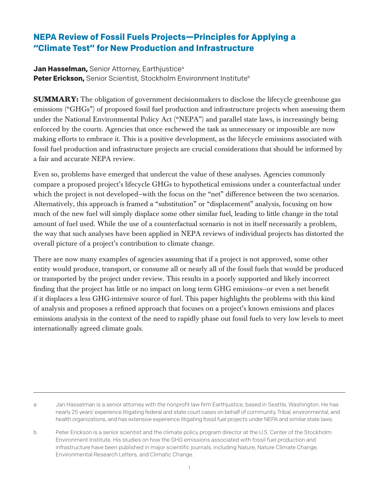# **NEPA Review of Fossil Fuels Projects—Principles for Applying a "Climate Test" for New Production and Infrastructure**

**Jan Hasselman, Senior Attorney, Earthjustice<sup>a</sup>** Peter Erickson, Senior Scientist, Stockholm Environment Institute<sup>b</sup>

**SUMMARY:** The obligation of government decisionmakers to disclose the lifecycle greenhouse gas emissions ("GHGs") of proposed fossil fuel production and infrastructure projects when assessing them under the National Environmental Policy Act ("NEPA") and parallel state laws, is increasingly being enforced by the courts. Agencies that once eschewed the task as unnecessary or impossible are now making efforts to embrace it. This is a positive development, as the lifecycle emissions associated with fossil fuel production and infrastructure projects are crucial considerations that should be informed by a fair and accurate NEPA review.

Even so, problems have emerged that undercut the value of these analyses. Agencies commonly compare a proposed project's lifecycle GHGs to hypothetical emissions under a counterfactual under which the project is not developed—with the focus on the "net" difference between the two scenarios. Alternatively, this approach is framed a "substitution" or "displacement" analysis, focusing on how much of the new fuel will simply displace some other similar fuel, leading to little change in the total amount of fuel used. While the use of a counterfactual scenario is not in itself necessarily a problem, the way that such analyses have been applied in NEPA reviews of individual projects has distorted the overall picture of a project's contribution to climate change.

There are now many examples of agencies assuming that if a project is not approved, some other entity would produce, transport, or consume all or nearly all of the fossil fuels that would be produced or transported by the project under review. This results in a poorly supported and likely incorrect finding that the project has little or no impact on long term GHG emissions—or even a net benefit if it displaces a less GHG-intensive source of fuel. This paper highlights the problems with this kind of analysis and proposes a refined approach that focuses on a project's known emissions and places emissions analysis in the context of the need to rapidly phase out fossil fuels to very low levels to meet internationally agreed climate goals.

a Jan Hasselman is a senior attorney with the nonprofit law firm Earthjustice, based in Seattle, Washington. He has nearly 25 years' experience litigating federal and state court cases on behalf of community, Tribal, environmental, and health organizations, and has extensive experience litigating fossil fuel projects under NEPA and similar state laws.

b Peter Erickson is a senior scientist and the climate policy program director at the U.S. Center of the Stockholm Environment Institute. His studies on how the GHG emissions associated with fossil fuel production and infrastructure have been published in major scientific journals, including Nature, Nature Climate Change, Environmental Research Letters, and Climatic Change.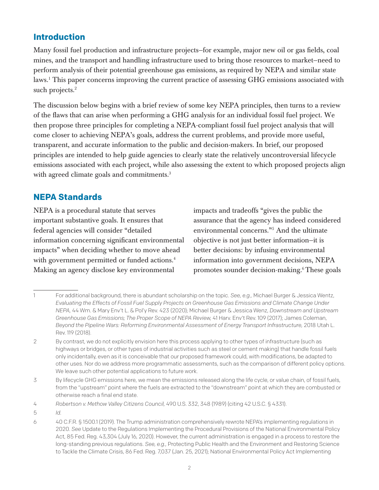## **Introduction**

Many fossil fuel production and infrastructure projects—for example, major new oil or gas fields, coal mines, and the transport and handling infrastructure used to bring those resources to market—need to perform analysis of their potential greenhouse gas emissions, as required by NEPA and similar state laws.1 This paper concerns improving the current practice of assessing GHG emissions associated with such projects.<sup>2</sup>

The discussion below begins with a brief review of some key NEPA principles, then turns to a review of the flaws that can arise when performing a GHG analysis for an individual fossil fuel project. We then propose three principles for completing a NEPA-compliant fossil fuel project analysis that will come closer to achieving NEPA's goals, address the current problems, and provide more useful, transparent, and accurate information to the public and decision-makers. In brief, our proposed principles are intended to help guide agencies to clearly state the relatively uncontroversial lifecycle emissions associated with each project, while also assessing the extent to which proposed projects align with agreed climate goals and commitments.<sup>3</sup>

## **NEPA Standards**

NEPA is a procedural statute that serves important substantive goals. It ensures that federal agencies will consider "detailed information concerning significant environmental impacts" when deciding whether to move ahead with government permitted or funded actions.<sup>4</sup> Making an agency disclose key environmental

impacts and tradeoffs "gives the public the assurance that the agency has indeed considered environmental concerns."5 And the ultimate objective is not just better information—it is better decisions: by infusing environmental information into government decisions, NEPA promotes sounder decision-making.<sup>6</sup>These goals

3 By lifecycle GHG emissions here, we mean the emissions released along the life cycle, or value chain, of fossil fuels, from the "upstream" point where the fuels are extracted to the "downstream" point at which they are combusted or otherwise reach a final end state.

<sup>1</sup> For additional background, there is abundant scholarship on the topic. *See, e.g.,* Michael Burger & Jessica Wentz, *Evaluating the Effects of Fossil Fuel Supply Projects on Greenhouse Gas Emissions and Climate Change Under NEPA,* 44 Wm. & Mary Env't L. & Pol'y Rev. 423 (2020); Michael Burger & Jessica Wenz, *Downstream and Upstream Greenhouse Gas Emissions; The Proper Scope of NEPA Review,* 41 Harv. Env't Rev. 109 (2017); James Coleman, *Beyond the Pipeline Wars: Reforming Environmental Assessment of Energy Transport Infrastructure,* 2018 Utah L. Rev. 119 (2018).

<sup>2</sup> By contrast, we do not explicitly envision here this process applying to other types of infrastructure (such as highways or bridges, or other types of industrial activities such as steel or cement making) that handle fossil fuels only incidentally, even as it is conceivable that our proposed framework could, with modifications, be adapted to other uses. Nor do we address more programmatic assessments, such as the comparison of different policy options. We leave such other potential applications to future work.

<sup>4</sup> *Robertson v. Methow Valley Citizens Council,* 490 U.S. 332, 348 (1989) (citing 42 U.S.C. § 4331).

<sup>5</sup> *Id.*

<sup>6</sup> 40 C.F.R. § 1500.1 (2019). The Trump administration comprehensively rewrote NEPA's implementing regulations in 2020. *See* Update to the Regulations Implementing the Procedural Provisions of the National Environmental Policy Act, 85 Fed. Reg. 43,304 (July 16, 2020). However, the current administration is engaged in a process to restore the long-standing previous regulations. *See, e.g.,* Protecting Public Health and the Environment and Restoring Science to Tackle the Climate Crisis, 86 Fed. Reg. 7,037 (Jan. 25, 2021); National Environmental Policy Act Implementing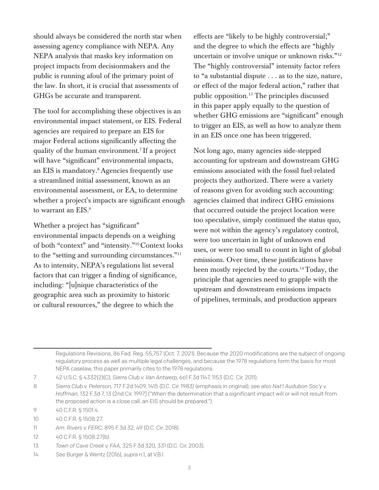should always be considered the north star when assessing agency compliance with NEPA. Any NEPA analysis that masks key information on project impacts from decisionmakers and the public is running afoul of the primary point of the law. In short, it is crucial that assessments of GHGs be accurate and transparent.

The tool for accomplishing these objectives is an environmental impact statement, or EIS. Federal agencies are required to prepare an EIS for major Federal actions significantly affecting the quality of the human environment.7 If a project will have "significant" environmental impacts, an EIS is mandatory.8 Agencies frequently use a streamlined initial assessment, known as an environmental assessment, or EA, to determine whether a project's impacts are significant enough to warrant an EIS.<sup>9</sup>

Whether a project has "significant" environmental impacts depends on a weighing of both "context" and "intensity."10 Context looks to the "setting and surrounding circumstances."11 As to intensity, NEPA's regulations list several factors that can trigger a finding of significance, including: "[u]nique characteristics of the geographic area such as proximity to historic or cultural resources," the degree to which the

effects are "likely to be highly controversial;" and the degree to which the effects are "highly uncertain or involve unique or unknown risks."12 The "highly controversial" intensity factor refers to "a substantial dispute . . . as to the size, nature, or effect of the major federal action," rather that public opposition.13 The principles discussed in this paper apply equally to the question of whether GHG emissions are "significant" enough to trigger an EIS, as well as how to analyze them in an EIS once one has been triggered.

Not long ago, many agencies side-stepped accounting for upstream and downstream GHG emissions associated with the fossil fuel-related projects they authorized. There were a variety of reasons given for avoiding such accounting: agencies claimed that indirect GHG emissions that occurred outside the project location were too speculative, simply continued the status quo, were not within the agency's regulatory control, were too uncertain in light of unknown end uses, or were too small to count in light of global emissions. Over time, these justifications have been mostly rejected by the courts.14Today, the principle that agencies need to grapple with the upstream and downstream emissions impacts of pipelines, terminals, and production appears

Regulations Revisions, 86 Fed. Reg. 55,757 (Oct. 7, 2021). Because the 2020 modifications are the subject of ongoing regulatory process as well as multiple legal challenges, and because the 1978 regulations form the basis for most NEPA caselaw, this paper primarily cites to the 1978 regulations.

7 42 U.S.C. § 4332(2)(C); *Sierra Club v. Van Antwerp,* 661 F.3d 1147, 1153 (D.C. Cir. 2011).

14 *See* Burger & Wentz (2016), *supra* n.1, at V.B.I.

<sup>8</sup> *Sierra Club v. Peterson,* 717 F.2d 1409, 1415 (D.C. Cir. 1983) (emphasis in original); *see also Nat'l Audubon Soc'y v. Hoffman,* 132 F.3d 7, 13 (2nd Cir. 1997) ("When the determination that a significant impact will or will not result from the proposed action is a close call, an EIS should be prepared.").

<sup>9</sup> 40 C.F.R. § 1501.4.

<sup>10</sup> 40 C.F.R. § 1508.27.

<sup>11</sup> *Am. Rivers v. FERC,* 895 F.3d 32, 49 (D.C. Cir. 2018).

<sup>12</sup> 40 C.F.R. § 1508.27(b).

<sup>13</sup> *Town of Cave Creek v. FAA,* 325 F.3d 320, 331 (D.C. Cir. 2003).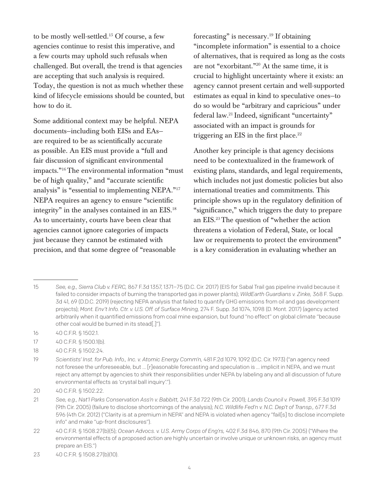to be mostly well-settled.15 Of course, a few agencies continue to resist this imperative, and a few courts may uphold such refusals when challenged. But overall, the trend is that agencies are accepting that such analysis is required. Today, the question is not as much whether these kind of lifecycle emissions should be counted, but how to do it.

Some additional context may be helpful. NEPA documents—including both EISs and EAs are required to be as scientifically accurate as possible. An EIS must provide a "full and fair discussion of significant environmental impacts."16The environmental information "must be of high quality," and "accurate scientific analysis" is "essential to implementing NEPA."17 NEPA requires an agency to ensure "scientific integrity" in the analyses contained in an EIS.18 As to uncertainty, courts have been clear that agencies cannot ignore categories of impacts just because they cannot be estimated with precision, and that some degree of "reasonable

forecasting" is necessary.<sup>19</sup> If obtaining "incomplete information" is essential to a choice of alternatives, that is required as long as the costs are not "exorbitant."20 At the same time, it is crucial to highlight uncertainty where it exists: an agency cannot present certain and well-supported estimates as equal in kind to speculative ones—to do so would be "arbitrary and capricious" under federal law.21 Indeed, significant "uncertainty" associated with an impact is grounds for triggering an EIS in the first place. $22$ 

Another key principle is that agency decisions need to be contextualized in the framework of existing plans, standards, and legal requirements, which includes not just domestic policies but also international treaties and commitments. This principle shows up in the regulatory definition of "significance," which triggers the duty to prepare an EIS.23The question of "whether the action threatens a violation of Federal, State, or local law or requirements to protect the environment" is a key consideration in evaluating whether an

- 16 40 C.F.R. § 1502.1.
- 17 40 C.F.R. § 1500.1(b).
- 18 40 C.F.R. § 1502.24.

<sup>15</sup> *See, e.g., Sierra Club v. FERC,* 867 F.3d 1357, 1371–75 (D.C. Cir. 2017) (EIS for Sabal Trail gas pipeline invalid because it failed to consider impacts of burning the transported gas in power plants); *WildEarth Guardians v. Zinke,* 368 F. Supp. 3d 41, 69 (D.D.C. 2019) (rejecting NEPA analysis that failed to quantify GHG emissions from oil and gas development projects); *Mont. Env't Info. Ctr. v. U.S. Off. of Surface Mining,* 274 F. Supp. 3d 1074, 1098 (D. Mont. 2017) (agency acted arbitrarily when it quantified emissions from coal mine expansion, but found "no effect" on global climate "because other coal would be burned in its stead[.]").

<sup>19</sup> *Scientists' Inst. for Pub. Info., Inc. v. Atomic Energy Comm'n,* 481 F.2d 1079, 1092 (D.C. Cir. 1973) ("an agency need not foresee the unforeseeable, but ... [r]easonable forecasting and speculation is ... implicit in NEPA, and we must reject any attempt by agencies to shirk their responsibilities under NEPA by labeling any and all discussion of future environmental effects as 'crystal ball inquiry'.").

<sup>20</sup> 40 C.F.R. § 1502.22.

<sup>21</sup> *See, e.g., Nat'l Parks Conservation Ass'n v. Babbitt,* 241 F.3d 722 (9th Cir. 2001); *Lands Council v. Powell,* 395 F.3d 1019 (9th Cir. 2005) (failure to disclose shortcomings of the analysis); *N.C. Wildlife Fed'n v. N.C. Dep't of Transp.,* 677 F.3d 596 (4th Cir. 2012) ("Clarity is at a premium in NEPA" and NEPA is violated when agency "fail[s] to disclose incomplete info" and make "up-front disclosures").

<sup>22</sup> 40 C.F.R. § 1508.27(b)(5); *Ocean Advocs. v. U.S. Army Corps of Eng'rs,* 402 F.3d 846, 870 (9th Cir. 2005) ("Where the environmental effects of a proposed action are highly uncertain or involve unique or unknown risks, an agency must prepare an EIS.")

<sup>23</sup> 40 C.F.R. § 1508.27(b)(10).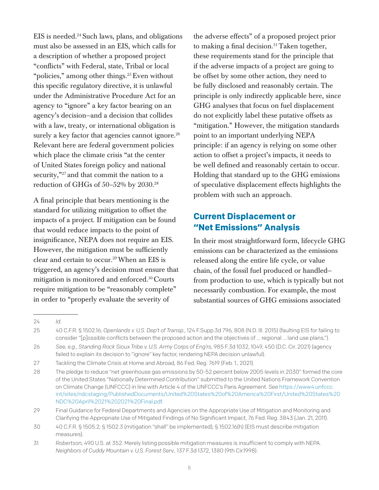$EIS$  is needed.<sup>24</sup> Such laws, plans, and obligations must also be assessed in an EIS, which calls for a description of whether a proposed project "conflicts" with Federal, state, Tribal or local "policies," among other things.<sup>25</sup> Even without this specific regulatory directive, it is unlawful under the Administrative Procedure Act for an agency to "ignore" a key factor bearing on an agency's decision—and a decision that collides with a law, treaty, or international obligation is surely a key factor that agencies cannot ignore.<sup>26</sup> Relevant here are federal government policies which place the climate crisis "at the center of United States foreign policy and national security,"<sup>27</sup> and that commit the nation to a reduction of GHGs of 50–52% by 2030.28

A final principle that bears mentioning is the standard for utilizing mitigation to offset the impacts of a project. If mitigation can be found that would reduce impacts to the point of insignificance, NEPA does not require an EIS. However, the mitigation must be sufficiently clear and certain to occur.29When an EIS is triggered, an agency's decision must ensure that mitigation is monitored and enforced.30 Courts require mitigation to be "reasonably complete" in order to "properly evaluate the severity of

the adverse effects" of a proposed project prior to making a final decision.<sup>31</sup> Taken together, these requirements stand for the principle that if the adverse impacts of a project are going to be offset by some other action, they need to be fully disclosed and reasonably certain. The principle is only indirectly applicable here, since GHG analyses that focus on fuel displacement do not explicitly label these putative offsets as "mitigation." However, the mitigation standards point to an important underlying NEPA principle: if an agency is relying on some other action to offset a project's impacts, it needs to be well defined and reasonably certain to occur. Holding that standard up to the GHG emissions of speculative displacement effects highlights the problem with such an approach.

### **Current Displacement or "Net Emissions" Analysis**

In their most straightforward form, lifecycle GHG emissions can be characterized as the emissions released along the entire life cycle, or value chain, of the fossil fuel produced or handled from production to use, which is typically but not necessarily combustion. For example, the most substantial sources of GHG emissions associated

<sup>24</sup> *Id.*

<sup>25</sup> 40 C.F.R. § 1502.16; *Openlands v. U.S. Dep't of Transp.,* 124 F.Supp.3d 796, 808 (N.D. Ill. 2015) (faulting EIS for failing to consider "[p]ossible conflicts between the proposed action and the objectives of ... regional ... land use plans,").

<sup>26</sup> *See, e.g., Standing Rock Sioux Tribe v. U.S. Army Corps of Eng'rs,* 985 F.3d 1032, 1049, 450 (D.C. Cir. 2021) (agency failed to explain its decision to "ignore" key factor, rendering NEPA decision unlawful).

<sup>27</sup> Tackling the Climate Crisis at Home and Abroad, 86 Fed. Reg. 7619 (Feb. 1., 2021).

<sup>28</sup> The pledge to reduce "net greenhouse gas emissions by 50-52 percent below 2005 levels in 2030" formed the core of the United States "Nationally Determined Contribution" submitted to the United Nations Framework Convention on Climate Change (UNFCCC) in line with Article 4 of the UNFCCC's Paris Agreement. *See* [https://www4.unfccc.](https://www4.unfccc.int/sites/ndcstaging/PublishedDocuments/United%20States%20of%20America%20First/United%20States%20NDC%20April%2021%202021%20Final.pdf) [int/sites/ndcstaging/PublishedDocuments/United%20States%20of%20America%20First/United%20States%20](https://www4.unfccc.int/sites/ndcstaging/PublishedDocuments/United%20States%20of%20America%20First/United%20States%20NDC%20April%2021%202021%20Final.pdf) [NDC%20April%2021%202021%20Final.pdf.](https://www4.unfccc.int/sites/ndcstaging/PublishedDocuments/United%20States%20of%20America%20First/United%20States%20NDC%20April%2021%202021%20Final.pdf)

<sup>29</sup> Final Guidance for Federal Departments and Agencies on the Appropriate Use of Mitigation and Monitoring and Clarifying the Appropriate Use of Mitigated Findings of No Significant Impact, 76 Fed. Reg. 3843 (Jan. 21, 2011).

<sup>30</sup> 40 C.F.R. § 1505.2; § 1502.3 (mitigation "shall" be implemented); § 1502.16(h) (EIS must describe mitigation measures).

<sup>31</sup> *Robertson,* 490 U.S. at 352. Merely listing possible mitigation measures is insufficient to comply with NEPA. *Neighbors of Cuddy Mountain v. U.S. Forest Serv.,* 137 F.3d 1372, 1380 (9th Cir.1998).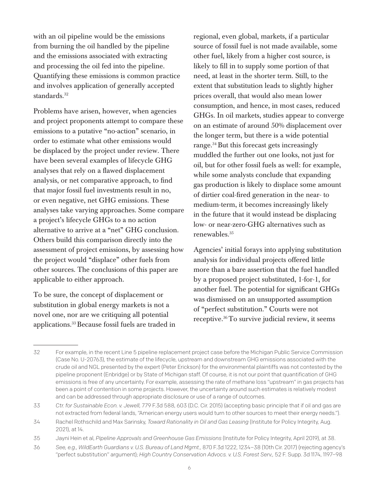with an oil pipeline would be the emissions from burning the oil handled by the pipeline and the emissions associated with extracting and processing the oil fed into the pipeline. Quantifying these emissions is common practice and involves application of generally accepted standards.<sup>32</sup>

Problems have arisen, however, when agencies and project proponents attempt to compare these emissions to a putative "no-action" scenario, in order to estimate what other emissions would be displaced by the project under review. There have been several examples of lifecycle GHG analyses that rely on a flawed displacement analysis, or net comparative approach, to find that major fossil fuel investments result in no, or even negative, net GHG emissions. These analyses take varying approaches. Some compare a project's lifecycle GHGs to a no action alternative to arrive at a "net" GHG conclusion. Others build this comparison directly into the assessment of project emissions, by assessing how the project would "displace" other fuels from other sources. The conclusions of this paper are applicable to either approach.

To be sure, the concept of displacement or substitution in global energy markets is not a novel one, nor are we critiquing all potential applications.33Because fossil fuels are traded in regional, even global, markets, if a particular source of fossil fuel is not made available, some other fuel, likely from a higher cost source, is likely to fill in to supply some portion of that need, at least in the shorter term. Still, to the extent that substitution leads to slightly higher prices overall, that would also mean lower consumption, and hence, in most cases, reduced GHGs. In oil markets, studies appear to converge on an estimate of around 50% displacement over the longer term, but there is a wide potential range.<sup>34</sup> But this forecast gets increasingly muddled the further out one looks, not just for oil, but for other fossil fuels as well: for example, while some analysts conclude that expanding gas production is likely to displace some amount of dirtier coal-fired generation in the near- to medium-term, it becomes increasingly likely in the future that it would instead be displacing low- or near-zero-GHG alternatives such as renewables.35

Agencies' initial forays into applying substitution analysis for individual projects offered little more than a bare assertion that the fuel handled by a proposed project substituted, 1-for-1, for another fuel. The potential for significant GHGs was dismissed on an unsupported assumption of "perfect substitution." Courts were not receptive.36To survive judicial review, it seems

<sup>32</sup> For example, in the recent Line 5 pipeline replacement project case before the Michigan Public Service Commission (Case No. U-20763), the estimate of the lifecycle, upstream and downstream GHG emissions associated with the crude oil and NGL presented by the expert (Peter Erickson) for the environmental plaintiffs was not contested by the pipeline proponent (Enbridge) or by State of Michigan staff. Of course, it is not our point that quantification of GHG emissions is free of any uncertainty. For example, assessing the rate of methane loss "upstream" in gas projects has been a point of contention in some projects. However, the uncertainty around such estimates is relatively modest and can be addressed through appropriate disclosure or use of a range of outcomes.

<sup>33</sup> *Ctr. for Sustainable Econ. v. Jewell,* 779 F.3d 588, 603 (D.C. Cir. 2015) (accepting basic principle that if oil and gas are not extracted from federal lands, "American energy users would turn to other sources to meet their energy needs.").

<sup>34</sup> Rachel Rothschild and Max Sarinsky, *Toward Rationality in Oil and Gas Leasing* (Institute for Policy Integrity, Aug. 2021), at 14.

<sup>35</sup> Jayni Hein et al, *Pipeline Approvals and Greenhouse Gas Emissions* (Institute for Policy Integrity, April 2019), at 38.

<sup>36</sup> *See, e.g., WildEarth Guardians v. U.S. Bureau of Land Mgmt.,* 870 F.3d 1222, 1234–38 (10th Cir. 2017) (rejecting agency's "perfect substitution" argument); *High Country Conservation Advocs. v. U.S. Forest Serv.,* 52 F. Supp. 3d 1174, 1197–98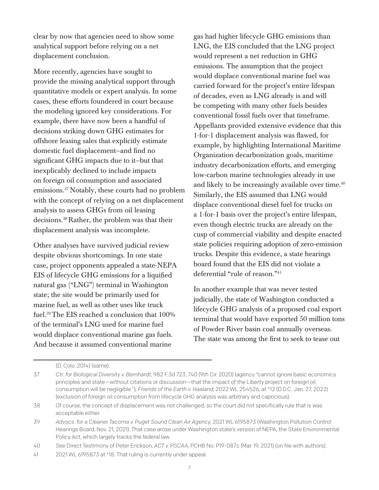clear by now that agencies need to show some analytical support before relying on a net displacement conclusion.

More recently, agencies have sought to provide the missing analytical support through quantitative models or expert analysis. In some cases, these efforts foundered in court because the modeling ignored key considerations. For example, there have now been a handful of decisions striking down GHG estimates for offshore leasing sales that explicitly estimate domestic fuel displacement—and find no significant GHG impacts due to it—but that inexplicably declined to include impacts on foreign oil consumption and associated emissions.37Notably, these courts had no problem with the concept of relying on a net displacement analysis to assess GHGs from oil leasing decisions.38 Rather, the problem was that their displacement analysis was incomplete.

Other analyses have survived judicial review despite obvious shortcomings. In one state case, project opponents appealed a state-NEPA EIS of lifecycle GHG emissions for a liquified natural gas ("LNG") terminal in Washington state; the site would be primarily used for marine fuel, as well as other uses like truck fuel.39The EIS reached a conclusion that 100% of the terminal's LNG used for marine fuel would displace conventional marine gas fuels. And because it assumed conventional marine

gas had higher lifecycle GHG emissions than LNG, the EIS concluded that the LNG project would represent a net reduction in GHG emissions. The assumption that the project would displace conventional marine fuel was carried forward for the project's entire lifespan of decades, even as LNG already is and will be competing with many other fuels besides conventional fossil fuels over that timeframe. Appellants provided extensive evidence that this 1-for-1 displacement analysis was flawed, for example, by highlighting International Maritime Organization decarbonization goals, maritime industry decarbonization efforts, and emerging low-carbon marine technologies already in use and likely to be increasingly available over time. $40$ Similarly, the EIS assumed that LNG would displace conventional diesel fuel for trucks on a 1-for-1 basis over the project's entire lifespan, even though electric trucks are already on the cusp of commercial viability and despite enacted state policies requiring adoption of zero-emission trucks. Despite this evidence, a state hearings board found that the EIS did not violate a deferential "rule of reason."41

In another example that was never tested judicially, the state of Washington conducted a lifecycle GHG analysis of a proposed coal export terminal that would have exported 50 million tons of Powder River basin coal annually overseas. The state was among the first to seek to tease out

<sup>(</sup>D. Colo. 2014) (same).

<sup>37</sup> *Ctr. for Biological Diversity v. Bernhardt,* 982 F.3d 723, 740 (9th Cir. 2020) (agency "cannot ignore basic economics principles and state—without citations or discussion—that the impact of the Liberty project on foreign oil consumption will be negligible."); *Friends of the Earth v. Haaland,* 2022 WL 254526, at \*12 (D.D.C. Jan. 27, 2022) (exclusion of foreign oil consumption from lifecycle GHG analysis was arbitrary and capricious).

<sup>38</sup> Of course, the concept of displacement was not challenged, so the court did not specifically rule that is was acceptable either.

<sup>39</sup> *Advocs. for a Cleaner Tacoma v. Puget Sound Clean Air Agency,* 2021 WL 6195873 (Washington Pollution Control Hearings Board, Nov. 21, 2021). That case arose under Washington state's version of NEPA, the State Environmental Policy Act, which largely tracks the federal law.

<sup>40</sup> *See* Direct Testimony of Peter Erickson, *ACT v. PSCAA,* PCHB No. P19-087c (Mar. 19, 2021) (on file with authors).

<sup>41</sup> 2021 WL 6195873 at \*18. That ruling is currently under appeal.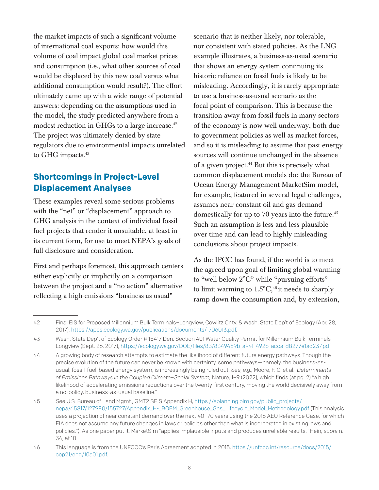the market impacts of such a significant volume of international coal exports: how would this volume of coal impact global coal market prices and consumption (i.e., what other sources of coal would be displaced by this new coal versus what additional consumption would result?). The effort ultimately came up with a wide range of potential answers: depending on the assumptions used in the model, the study predicted anywhere from a modest reduction in GHGs to a large increase.<sup>42</sup> The project was ultimately denied by state regulators due to environmental impacts unrelated to GHG impacts.<sup>43</sup>

## **Shortcomings in Project-Level Displacement Analyses**

These examples reveal some serious problems with the "net" or "displacement" approach to GHG analysis in the context of individual fossil fuel projects that render it unsuitable, at least in its current form, for use to meet NEPA's goals of full disclosure and consideration.

First and perhaps foremost, this approach centers either explicitly or implicitly on a comparison between the project and a "no action" alternative reflecting a high-emissions "business as usual"

scenario that is neither likely, nor tolerable, nor consistent with stated policies. As the LNG example illustrates, a business-as-usual scenario that shows an energy system continuing its historic reliance on fossil fuels is likely to be misleading. Accordingly, it is rarely appropriate to use a business-as-usual scenario as the focal point of comparison. This is because the transition away from fossil fuels in many sectors of the economy is now well underway, both due to government policies as well as market forces, and so it is misleading to assume that past energy sources will continue unchanged in the absence of a given project.44 But this is precisely what common displacement models do: the Bureau of Ocean Energy Management MarketSim model, for example, featured in several legal challenges, assumes near constant oil and gas demand domestically for up to 70 years into the future.45 Such an assumption is less and less plausible over time and can lead to highly misleading conclusions about project impacts.

As the IPCC has found, if the world is to meet the agreed-upon goal of limiting global warming to "well below 2°C" while "pursuing efforts" to limit warming to  $1.5^{\circ}C_{2}^{46}$  it needs to sharply ramp down the consumption and, by extension,

<sup>42</sup> Final EIS for Proposed Millennium Bulk Terminals–Longview, Cowlitz Cnty. & Wash. State Dep't of Ecology (Apr. 28, 2017), https://apps.ecology.wa.gov/publications/documents/1706013.pdf.

<sup>43</sup> Wash. State Dep't of Ecology Order # 15417 Den. Section 401 Water Quality Permit for Millennium Bulk Terminals– Longview (Sept. 26, 2017), <https://ecology.wa.gov/DOE/files/83/8349469b-a94f-492b-acca-d8277e1ad237.pdf>.

<sup>44</sup> A growing body of research attempts to estimate the likelihood of different future energy pathways. Though the precise evolution of the future can never be known with certainty, some pathways—namely, the business-asusual, fossil-fuel-based energy system, is increasingly being ruled out. *See, e.g.,* Moore, F. C. et al., *Determinants of Emissions Pathways in the Coupled Climate–Social System,* Nature, 1–9 (2022), which finds (at pg. 2) "a high likelihood of accelerating emissions reductions over the twenty-first century, moving the world decisively away from a no-policy, business-as-usual baseline."

<sup>45</sup> *See* U.S. Bureau of Land Mgmt., GMT2 SEIS Appendix H, [https://eplanning.blm.gov/public\\_projects/](https://eplanning.blm.gov/public_projects/nepa/65817/127980/155727/Appendix_H-_BOEM_Greenhouse_Gas_Lifecycle_Model_Methodology.pdf) [nepa/65817/127980/155727/Appendix\\_H-\\_BOEM\\_Greenhouse\\_Gas\\_Lifecycle\\_Model\\_Methodology.pdf](https://eplanning.blm.gov/public_projects/nepa/65817/127980/155727/Appendix_H-_BOEM_Greenhouse_Gas_Lifecycle_Model_Methodology.pdf) (This analysis uses a projection of near constant demand over the next 40–70 years using the 2016 AEO Reference Case, for which EIA does not assume any future changes in laws or policies other than what is incorporated in existing laws and policies."). As one paper put it, MarketSim "applies implausible inputs and produces unreliable results." Hein, *supra* n. 34, at 10.

<sup>46</sup> This language is from the UNFCCC's Paris Agreement adopted in 2015, [https://unfccc.int/resource/docs/2015/](https://unfccc.int/resource/docs/2015/cop21/eng/10a01.pdf) [cop21/eng/10a01.pdf.](https://unfccc.int/resource/docs/2015/cop21/eng/10a01.pdf)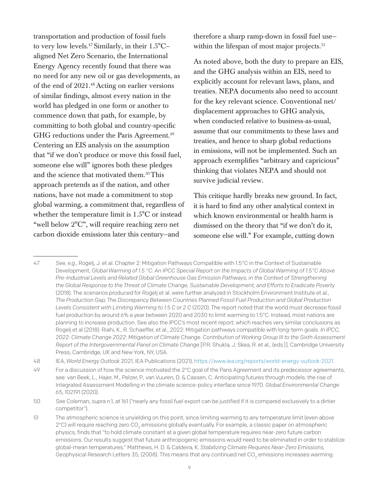transportation and production of fossil fuels to very low levels.47 Similarly, in their 1.5°C– aligned Net Zero Scenario, the International Energy Agency recently found that there was no need for any new oil or gas developments, as of the end of 2021.48 Acting on earlier versions of similar findings, almost every nation in the world has pledged in one form or another to commence down that path, for example, by committing to both global and country-specific GHG reductions under the Paris Agreement.<sup>49</sup> Centering an EIS analysis on the assumption that "if we don't produce or move this fossil fuel, someone else will" ignores both these pledges and the science that motivated them.<sup>50</sup>This approach pretends as if the nation, and other nations, have not made a commitment to stop global warming, a commitment that, regardless of whether the temperature limit is 1.5°C or instead "well below 2°C", will require reaching zero net carbon dioxide emissions later this century—and

therefore a sharp ramp-down in fossil fuel use within the lifespan of most major projects.<sup>51</sup>

As noted above, both the duty to prepare an EIS, and the GHG analysis within an EIS, need to explicitly account for relevant laws, plans, and treaties. NEPA documents also need to account for the key relevant science. Conventional net/ displacement approaches to GHG analysis, when conducted relative to business-as-usual, assume that our commitments to these laws and treaties, and hence to sharp global reductions in emissions, will not be implemented. Such an approach exemplifies "arbitrary and capricious" thinking that violates NEPA and should not survive judicial review.

This critique hardly breaks new ground. In fact, it is hard to find any other analytical context in which known environmental or health harm is dismissed on the theory that "if we don't do it, someone else will." For example, cutting down

48 IEA, *World Energy Outlook* 2021, IEA Publications (2021), <https://www.iea.org/reports/world-energy-outlook-2021>.

<sup>47</sup> *See, e.g.,* Rogelj, J. et al. Chapter 2: Mitigation Pathways Compatible with 1.5°C in the Context of Sustainable Development, *Global Warming of 1.5 °C: An IPCC Special Report on the Impacts of Global Warming of 1.5°C Above Pre-Industrial Levels and Related Global Greenhouse Gas Emission Pathways, in the Context of Strengthening the Global Response to the Threat of Climate Change, Sustainable Development, and Efforts to Eradicate Poverty* (2018). The scenarios produced for Rogelj et al. were further analyzed in Stockholm Environment Institute et al., *The Production Gap; The Discrepancy Between Countries Planned Fossil Fuel Production and Global Production Levels Consistent with Limiting Warming to 1.5 C or 2 C* (2020). The report noted that the world must decrease fossil fuel production by around 6% a year between 2020 and 2030 to limit warming to 1.5°C. Instead, most nations are planning to increase production. See also the IPCC's most recent report, which reaches very similar conclusions as Rogelj et al (2018): Riahi, K., R. Schaeffer, et al., 2022: Mitigation pathways compatible with long-term goals. *In IPCC, 2022: Climate Change 2022: Mitigation of Climate Change. Contribution of Working Group III to the Sixth Assessment Report of the Intergovernmental Panel on Climate Change* [P.R. Shukla, J. Skea, R. et al., (eds.)]. Cambridge University Press, Cambridge, UK and New York, NY, USA.

<sup>49</sup> For a discussion of how the science motivated the  $2^{\circ}$ C goal of the Paris Agreement and its predecessor agreements, see: van Beek, L., Hajer, M., Pelzer, P., van Vuuren, D. & Cassen, C. Anticipating futures through models: the rise of Integrated Assessment Modelling in the climate science-policy interface since 1970. *Global Environmental Change* 65, 102191 (2020).

<sup>50</sup> *See* Coleman, *supra* n.1, at 161 ("nearly any fossil fuel export can be justified if it is compared exclusively to a dirtier competitor").

<sup>51</sup> The atmospheric science is unyielding on this point, since limiting warming to *any* temperature limit (even above 2°C) will require reaching zero CO<sub>2</sub> emissions globally eventually. For example, a classic paper on atmospheric physics, finds that "to hold climate constant at a given global temperature requires near-zero future carbon emissions. Our results suggest that future anthropogenic emissions would need to be eliminated in order to stabilize global-mean temperatures." Matthews, H. D. & Caldeira, K. *Stabilizing Climate Requires Near-Zero Emissions,*  Geophysical Research Letters 35, (2008). This means that *any* continued net CO<sub>2</sub> emissions increases warming.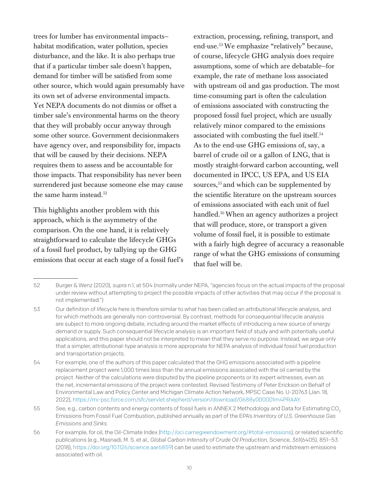trees for lumber has environmental impacts habitat modification, water pollution, species disturbance, and the like. It is also perhaps true that if a particular timber sale doesn't happen, demand for timber will be satisfied from some other source, which would again presumably have its own set of adverse environmental impacts. Yet NEPA documents do not dismiss or offset a timber sale's environmental harms on the theory that they will probably occur anyway through some other source. Government decisionmakers have agency over, and responsibility for, impacts that will be caused by their decisions. NEPA requires them to assess and be accountable for those impacts. That responsibility has never been surrendered just because someone else may cause the same harm instead.<sup>52</sup>

This highlights another problem with this approach, which is the asymmetry of the comparison. On the one hand, it is relatively straightforward to calculate the lifecycle GHGs of a fossil fuel product, by tallying up the GHG emissions that occur at each stage of a fossil fuel's extraction, processing, refining, transport, and end-use.53We emphasize "relatively" because, of course, lifecycle GHG analysis does require assumptions, some of which are debatable—for example, the rate of methane loss associated with upstream oil and gas production. The most time-consuming part is often the calculation of emissions associated with constructing the proposed fossil fuel project, which are usually relatively minor compared to the emissions associated with combusting the fuel itself.54 As to the end-use GHG emissions of, say, a barrel of crude oil or a gallon of LNG, that is mostly straight-forward carbon accounting, well documented in IPCC, US EPA, and US EIA sources,<sup>55</sup> and which can be supplemented by the scientific literature on the upstream sources of emissions associated with each unit of fuel handled.56When an agency authorizes a project that will produce, store, or transport a given volume of fossil fuel, it is possible to estimate with a fairly high degree of accuracy a reasonable range of what the GHG emissions of consuming that fuel will be.

<sup>52</sup> Burger & Wenz (2020), *supra* n.1, at 504 (normally under NEPA, "agencies focus on the actual impacts of the proposal under review without attempting to project the possible impacts of other activities that may occur if the proposal is not implemented.")

<sup>53</sup> Our definition of lifecycle here is therefore similar to what has been called an *attributional* lifecycle analysis, and for which methods are generally non-controversial. By contrast, methods for *consequential* lifecycle analysis are subject to more ongoing debate, including around the market effects of introducing a new source of energy demand or supply. Such consequential lifecycle analysis is an important field of study and with potentially useful applications, and this paper should not be interpreted to mean that they serve no purpose. Instead, we argue only that a simpler, attributional-type analysis is more appropriate for NEPA analysis of individual fossil fuel production and transportation projects.

<sup>54</sup> For example, one of the authors of this paper calculated that the GHG emissions associated with a pipeline replacement project were 1,000 times less than the annual emissions associated with the oil carried by the project. Neither of the calculations were disputed by the pipeline proponents or its expert witnesses, even as the net, incremental emissions of the project were contested. Revised Testimony of Peter Erickson on Behalf of Environmental Law and Policy Center and Michigan Climate Action Network, MPSC Case No. U-20763 (Jan. 18, 2022), [https://mi-psc.force.com/sfc/servlet.shepherd/version/download/0688y000001m4PRAAY.](https://mi-psc.force.com/sfc/servlet.shepherd/version/download/0688y000001m4PRAAY)

<sup>55</sup> See, e.g., carbon contents and energy contents of fossil fuels in ANNEX 2 Methodology and Data for Estimating CO<sub>2</sub> Emissions from Fossil Fuel Combustion, published annually as part of the EPA's *Inventory of U.S. Greenhouse Gas Emissions and Sinks.*

<sup>56</sup> For example, for oil, the Oil-Climate Index [\(http://oci.carnegieendowment.org/#total-emissions\)](http://oci.carnegieendowment.org/#total-emissions), or related scientific publications (e.g., Masnadi, M. S. et al., *Global Carbon Intensity of Crude Oil Production,* Science, 361(6405), 851–53 (2018),<https://doi.org/10.1126/science.aar6859>) can be used to estimate the upstream and midstream emissions associated with oil.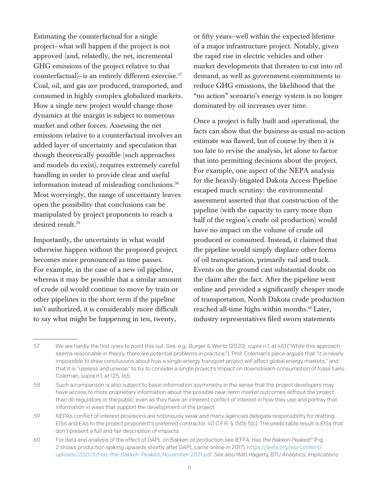Estimating the counterfactual for a single project—what will happen if the project is not approved (and, relatedly, the net, incremental GHG emissions of the project relative to that counterfactual)—is an entirely different exercise.57 Coal, oil, and gas are produced, transported, and consumed in highly complex globalized markets. How a single new project would change those dynamics at the margin is subject to numerous market and other forces. Assessing the net emissions relative to a counterfactual involves an added layer of uncertainty and speculation that though theoretically possible (such approaches and models do exist), requires extremely careful handling in order to provide clear and useful information instead of misleading conclusions.<sup>58</sup> Most worryingly, the range of uncertainty leaves open the possibility that conclusions can be manipulated by project proponents to reach a desired result.<sup>59</sup>

Importantly, the uncertainty in what would otherwise happen without the proposed project becomes more pronounced as time passes. For example, in the case of a new oil pipeline, whereas it may be possible that a similar amount of crude oil would continue to move by train or other pipelines in the short term if the pipeline isn't authorized, it is considerably more difficult to say what might be happening in ten, twenty,

or fifty years—well within the expected lifetime of a major infrastructure project. Notably, given the rapid rise in electric vehicles and other market developments that threaten to cut into oil demand, as well as government commitments to reduce GHG emissions, the likelihood that the "no action" scenario's energy system is no longer dominated by oil increases over time.

Once a project is fully built and operational, the facts can show that the business-as-usual no-action estimate was flawed, but of course by then it is too late to revise the analysis, let alone to factor that into permitting decisions about the project. For example, one aspect of the NEPA analysis for the heavily-litigated Dakota Access Pipeline escaped much scrutiny: the environmental assessment asserted that that construction of the pipeline (with the capacity to carry more than half of the region's crude oil production) would have no impact on the volume of crude oil produced or consumed. Instead, it claimed that the pipeline would simply displace other forms of oil transportation, primarily rail and truck. Events on the ground cast substantial doubt on the claim after the fact. After the pipeline went online and provided a significantly cheaper mode of transportation, North Dakota crude production reached all-time highs within months.<sup>60</sup> Later, industry representatives filed sworn statements

<sup>57</sup> We are hardly the first ones to point this out. *See,* e.g., Burger & Wentz (2020), *supra* n.1, at 451 ("While this approach seems reasonable in theory, there are potential problems in practice."). Prof. Coleman's piece argues that "it is nearly impossible to draw conclusions about how a single energy transport project will affect global energy markets," and that it is "useless and unwise" to try to consider a single project's impact on downstream consumption of fossil fuels. Coleman, *supra* n.1, at 125, 165.

<sup>58</sup> Such a comparison is also subject to basic information asymmetry in the sense that the project developers may have access to more proprietary information about the possible near-term market outcomes without the project than do regulators or the public, even as they have an inherent conflict of interest in how they use and portray that information in ways that support the development of the project.

<sup>59</sup> NEPA's conflict of interest provisions are notoriously weak and many agencies delegate responsibility for drafting EISs and EAs to the project proponent's preferred contractor. 40 C.F.R. § 1506.5(c). The predictable result is EISs that don't present a full and fair description of impacts.

<sup>60</sup> For data and analysis of the effect of DAPL on Bakken oil production see IEFFA, *Has the Bakken Peaked?* (Fig. 2 shows production spiking upwards shortly after DAPL came online in 2017), [https://ieefa.org/wp-content/](https://ieefa.org/wp-content/uploads/2021/11/Has-the-Bakken-Peaked_November-2021.pdf) [uploads/2021/11/Has-the-Bakken-Peaked\\_November-2021.pdf.](https://ieefa.org/wp-content/uploads/2021/11/Has-the-Bakken-Peaked_November-2021.pdf) *See also* Matt Hagerty, BTU Analytics, *Implications*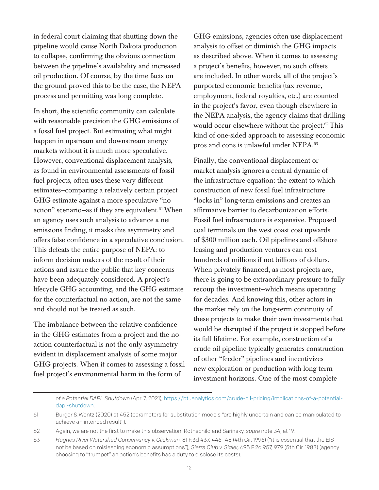in federal court claiming that shutting down the pipeline would cause North Dakota production to collapse, confirming the obvious connection between the pipeline's availability and increased oil production. Of course, by the time facts on the ground proved this to be the case, the NEPA process and permitting was long complete.

In short, the scientific community can calculate with reasonable precision the GHG emissions of a fossil fuel project. But estimating what might happen in upstream and downstream energy markets without it is much more speculative. However, conventional displacement analysis, as found in environmental assessments of fossil fuel projects, often uses these very different estimates—comparing a relatively certain project GHG estimate against a more speculative "no action" scenario—as if they are equivalent.<sup>61</sup> When an agency uses such analysis to advance a net emissions finding, it masks this asymmetry and offers false confidence in a speculative conclusion. This defeats the entire purpose of NEPA: to inform decision makers of the result of their actions and assure the public that key concerns have been adequately considered. A project's lifecycle GHG accounting, and the GHG estimate for the counterfactual no action, are not the same and should not be treated as such.

The imbalance between the relative confidence in the GHG estimates from a project and the noaction counterfactual is not the only asymmetry evident in displacement analysis of some major GHG projects. When it comes to assessing a fossil fuel project's environmental harm in the form of

GHG emissions, agencies often use displacement analysis to offset or diminish the GHG impacts as described above. When it comes to assessing a project's benefits, however, no such offsets are included. In other words, all of the project's purported economic benefits (tax revenue, employment, federal royalties, etc.) are counted in the project's favor, even though elsewhere in the NEPA analysis, the agency claims that drilling would occur elsewhere without the project.<sup>62</sup> This kind of one-sided approach to assessing economic pros and cons is unlawful under NEPA.63

Finally, the conventional displacement or market analysis ignores a central dynamic of the infrastructure equation: the extent to which construction of new fossil fuel infrastructure "locks in" long-term emissions and creates an affirmative barrier to decarbonization efforts. Fossil fuel infrastructure is expensive. Proposed coal terminals on the west coast cost upwards of \$300 million each. Oil pipelines and offshore leasing and production ventures can cost hundreds of millions if not billions of dollars. When privately financed, as most projects are, there is going to be extraordinary pressure to fully recoup the investment—which means operating for decades. And knowing this, other actors in the market rely on the long-term continuity of these projects to make their own investments that would be disrupted if the project is stopped before its full lifetime. For example, construction of a crude oil pipeline typically generates construction of other "feeder" pipelines and incentivizes new exploration or production with long-term investment horizons. One of the most complete

*of a Potential DAPL Shutdown* (Apr. 7, 2021), [https://btuanalytics.com/crude-oil-pricing/implications-of-a-potential](https://btuanalytics.com/crude-oil-pricing/implications-of-a-potential-dapl-shutdown)[dapl-shutdown](https://btuanalytics.com/crude-oil-pricing/implications-of-a-potential-dapl-shutdown).

<sup>61</sup> Burger & Wentz (2020) at 452 (parameters for substitution models "are highly uncertain and can be manipulated to achieve an intended result").

<sup>62</sup> Again, we are not the first to make this observation. Rothschild and Sarinsky, *supra* note 34, at 19.

<sup>63</sup> *Hughes River Watershed Conservancy v. Glickman,* 81 F.3d 437, 446–48 (4th Cir. 1996) ("it is essential that the EIS not be based on misleading economic assumptions"); *Sierra Club v. Sigler,* 695 F.2d 957, 979 (5th Cir. 1983) (agency choosing to "trumpet" an action's benefits has a duty to disclose its costs).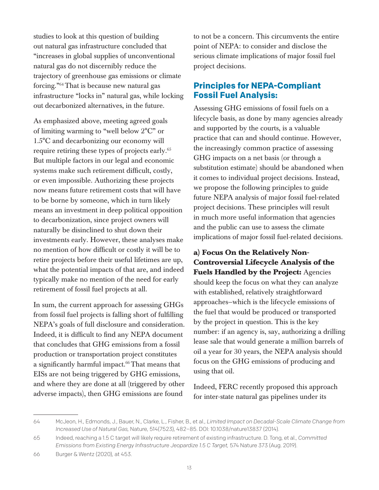studies to look at this question of building out natural gas infrastructure concluded that "increases in global supplies of unconventional natural gas do not discernibly reduce the trajectory of greenhouse gas emissions or climate forcing."64That is because new natural gas infrastructure "locks in" natural gas, while locking out decarbonized alternatives, in the future.

As emphasized above, meeting agreed goals of limiting warming to "well below 2°C" or 1.5°C and decarbonizing our economy will require retiring these types of projects early.65 But multiple factors in our legal and economic systems make such retirement difficult, costly, or even impossible. Authorizing these projects now means future retirement costs that will have to be borne by someone, which in turn likely means an investment in deep political opposition to decarbonization, since project owners will naturally be disinclined to shut down their investments early. However, these analyses make no mention of how difficult or costly it will be to retire projects before their useful lifetimes are up, what the potential impacts of that are, and indeed typically make no mention of the need for early retirement of fossil fuel projects at all.

In sum, the current approach for assessing GHGs from fossil fuel projects is falling short of fulfilling NEPA's goals of full disclosure and consideration. Indeed, it is difficult to find any NEPA document that concludes that GHG emissions from a fossil production or transportation project constitutes a significantly harmful impact.<sup>66</sup> That means that EISs are not being triggered by GHG emissions, and where they are done at all (triggered by other adverse impacts), then GHG emissions are found

to not be a concern. This circumvents the entire point of NEPA: to consider and disclose the serious climate implications of major fossil fuel project decisions.

#### **Principles for NEPA-Compliant Fossil Fuel Analysis:**

Assessing GHG emissions of fossil fuels on a lifecycle basis, as done by many agencies already and supported by the courts, is a valuable practice that can and should continue. However, the increasingly common practice of assessing GHG impacts on a net basis (or through a substitution estimate) should be abandoned when it comes to individual project decisions. Instead, we propose the following principles to guide future NEPA analysis of major fossil fuel-related project decisions. These principles will result in much more useful information that agencies and the public can use to assess the climate implications of major fossil fuel-related decisions.

### **a) Focus On the Relatively Non-Controversial Lifecycle Analysis of the Fuels Handled by the Project:** Agencies should keep the focus on what they can analyze with established, relatively straightforward approaches—which is the lifecycle emissions of the fuel that would be produced or transported by the project in question. This is the key number: if an agency is, say, authorizing a drilling lease sale that would generate a million barrels of oil a year for 30 years, the NEPA analysis should focus on the GHG emissions of producing and using that oil.

Indeed, FERC recently proposed this approach for inter-state natural gas pipelines under its

<sup>64</sup> McJeon, H., Edmonds, J., Bauer, N., Clarke, L., Fisher, B., et al., *Limited Impact on Decadal-Scale Climate Change from Increased Use of Natural Gas,* Nature, 514(7523), 482–85. DOI: 10.1038/nature13837 (2014).

<sup>65</sup> Indeed, reaching a 1.5 C target will likely require retirement of existing infrastructure. D. Tong, et al., *Committed Emissions from Existing Energy Infrastructure Jeopardize 1.5 C Target,* 574 Nature 373 (Aug. 2019).

<sup>66</sup> Burger & Wentz (2020), at 453.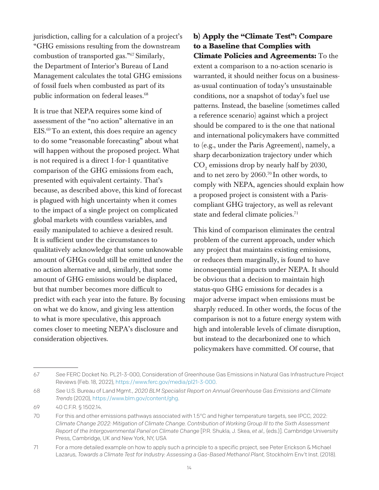jurisdiction, calling for a calculation of a project's "GHG emissions resulting from the downstream combustion of transported gas."67 Similarly, the Department of Interior's Bureau of Land Management calculates the total GHG emissions of fossil fuels when combusted as part of its public information on federal leases.<sup>68</sup>

It is true that NEPA requires some kind of assessment of the "no action" alternative in an  $EIS<sup>69</sup>$  To an extent, this does require an agency to do some "reasonable forecasting" about what will happen without the proposed project. What is not required is a direct 1-for-1 quantitative comparison of the GHG emissions from each, presented with equivalent certainty. That's because, as described above, this kind of forecast is plagued with high uncertainty when it comes to the impact of a single project on complicated global markets with countless variables, and easily manipulated to achieve a desired result. It is sufficient under the circumstances to qualitatively acknowledge that some unknowable amount of GHGs could still be emitted under the no action alternative and, similarly, that some amount of GHG emissions would be displaced, but that number becomes more difficult to predict with each year into the future. By focusing on what we do know, and giving less attention to what is more speculative, this approach comes closer to meeting NEPA's disclosure and consideration objectives.

#### **b) Apply the "Climate Test": Compare to a Baseline that Complies with Climate Policies and Agreements:** To the extent a comparison to a no-action scenario is warranted, it should neither focus on a businessas-usual continuation of today's unsustainable conditions, nor a snapshot of today's fuel use patterns. Instead, the baseline (sometimes called a reference scenario) against which a project should be compared to is the one that national and international policymakers have committed to (e.g., under the Paris Agreement), namely, a sharp decarbonization trajectory under which  $\mathrm{CO}_2$  emissions drop by nearly half by 2030, and to net zero by 2060.70 In other words, to comply with NEPA, agencies should explain how a proposed project is consistent with a Pariscompliant GHG trajectory, as well as relevant state and federal climate policies.<sup>71</sup>

This kind of comparison eliminates the central problem of the current approach, under which any project that maintains existing emissions, or reduces them marginally, is found to have inconsequential impacts under NEPA. It should be obvious that a decision to maintain high status-quo GHG emissions for decades is a major adverse impact when emissions must be sharply reduced. In other words, the focus of the comparison is not to a future energy system with high and intolerable levels of climate disruption, but instead to the decarbonized one to which policymakers have committed. Of course, that

<sup>67</sup> *See* FERC Docket No. PL21-3-000, Consideration of Greenhouse Gas Emissions in Natural Gas Infrastructure Project Reviews (Feb. 18, 2022), <https://www.ferc.gov/media/pl21-3-000>.

<sup>68</sup> *See* U.S. Bureau of Land Mgmt., *2020 BLM Specialist Report on Annual Greenhouse Gas Emissions and Climate Trends* (2020), [https://www.blm.gov/content/ghg.](https://www.blm.gov/content/ghg)

<sup>69</sup> 40 C.F.R. § 1502.14.

<sup>70</sup> For this and other emissions pathways associated with 1.5°C and higher temperature targets, see IPCC, 2022: *Climate Change 2022: Mitigation of Climate Change. Contribution of Working Group III to the Sixth Assessment Report of the Intergovernmental Panel on Climate Change* [P.R. Shukla, J. Skea, *et al.,* (eds.)]. Cambridge University Press, Cambridge, UK and New York, NY, USA

<sup>71</sup> For a more detailed example on how to apply such a principle to a specific project, see Peter Erickson & Michael Lazarus, *Towards a Climate Test for Industry: Assessing a Gas-Based Methanol Plant,* Stockholm Env't Inst. (2018).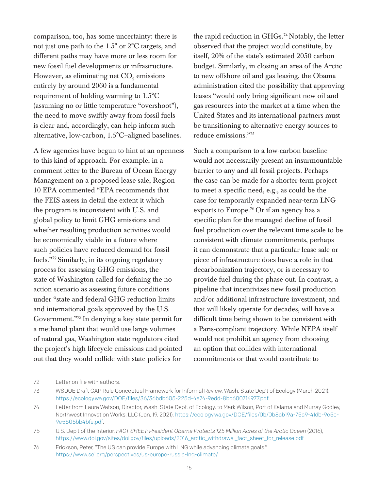comparison, too, has some uncertainty: there is not just one path to the 1.5° or 2°C targets, and different paths may have more or less room for new fossil fuel developments or infrastructure. However, as eliminating net  $\mathrm{CO}_2$  emissions entirely by around 2060 is a fundamental requirement of holding warming to 1.5°C (assuming no or little temperature "overshoot"), the need to move swiftly away from fossil fuels is clear and, accordingly, can help inform such alternative, low-carbon, 1.5°C–aligned baselines.

A few agencies have begun to hint at an openness to this kind of approach. For example, in a comment letter to the Bureau of Ocean Energy Management on a proposed lease sale, Region 10 EPA commented "EPA recommends that the FEIS assess in detail the extent it which the program is inconsistent with U.S. and global policy to limit GHG emissions and whether resulting production activities would be economically viable in a future where such policies have reduced demand for fossil fuels."72 Similarly, in its ongoing regulatory process for assessing GHG emissions, the state of Washington called for defining the no action scenario as assessing future conditions under "state and federal GHG reduction limits and international goals approved by the U.S. Government."73 In denying a key state permit for a methanol plant that would use large volumes of natural gas, Washington state regulators cited the project's high lifecycle emissions and pointed out that they would collide with state policies for

the rapid reduction in GHGs.<sup>74</sup> Notably, the letter observed that the project would constitute, by itself, 20% of the state's estimated 2050 carbon budget. Similarly, in closing an area of the Arctic to new offshore oil and gas leasing, the Obama administration cited the possibility that approving leases "would only bring significant new oil and gas resources into the market at a time when the United States and its international partners must be transitioning to alternative energy sources to reduce emissions."75

Such a comparison to a low-carbon baseline would not necessarily present an insurmountable barrier to any and all fossil projects. Perhaps the case can be made for a shorter-term project to meet a specific need, e.g., as could be the case for temporarily expanded near-term LNG exports to Europe.<sup>76</sup> Or if an agency has a specific plan for the managed decline of fossil fuel production over the relevant time scale to be consistent with climate commitments, perhaps it can demonstrate that a particular lease sale or piece of infrastructure does have a role in that decarbonization trajectory, or is necessary to provide fuel during the phase out. In contrast, a pipeline that incentivizes new fossil production and/or additional infrastructure investment, and that will likely operate for decades, will have a difficult time being shown to be consistent with a Paris-compliant trajectory. While NEPA itself would not prohibit an agency from choosing an option that collides with international commitments or that would contribute to

<sup>72</sup> Letter on file with authors.

<sup>73</sup> WSDOE Draft GAP Rule Conceptual Framework for Informal Review, Wash. State Dep't of Ecology (March 2021), <https://ecology.wa.gov/DOE/files/36/36bdb605-225d-4a74-9edd-8bc600714977.pdf>.

<sup>74</sup> Letter from Laura Watson, Director, Wash. State Dept. of Ecology, to Mark Wilson, Port of Kalama and Murray Godley, Northwest Innovation Works, LLC (Jan. 19. 2021), [https://ecology.wa.gov/DOE/files/0b/0b8ab19a-75a9-41db-9c5c-](https://ecology.wa.gov/DOE/files/0b/0b8ab19a-75a9-41db-9c5c-9e5505bb4bfe.pdf)[9e5505bb4bfe.pdf](https://ecology.wa.gov/DOE/files/0b/0b8ab19a-75a9-41db-9c5c-9e5505bb4bfe.pdf).

<sup>75</sup> U.S. Dep't of the Interior, *FACT SHEET: President Obama Protects 125 Million Acres of the Arctic Ocean* (2016), [https://www.doi.gov/sites/doi.gov/files/uploads/2016\\_arctic\\_withdrawal\\_fact\\_sheet\\_for\\_release.pdf](https://www.doi.gov/sites/doi.gov/files/uploads/2016_arctic_withdrawal_fact_sheet_for_release.pdf).

<sup>76</sup> Erickson, Peter, "The US can provide Europe with LNG while advancing climate goals." <https://www.sei.org/perspectives/us-europe-russia-lng-climate/>